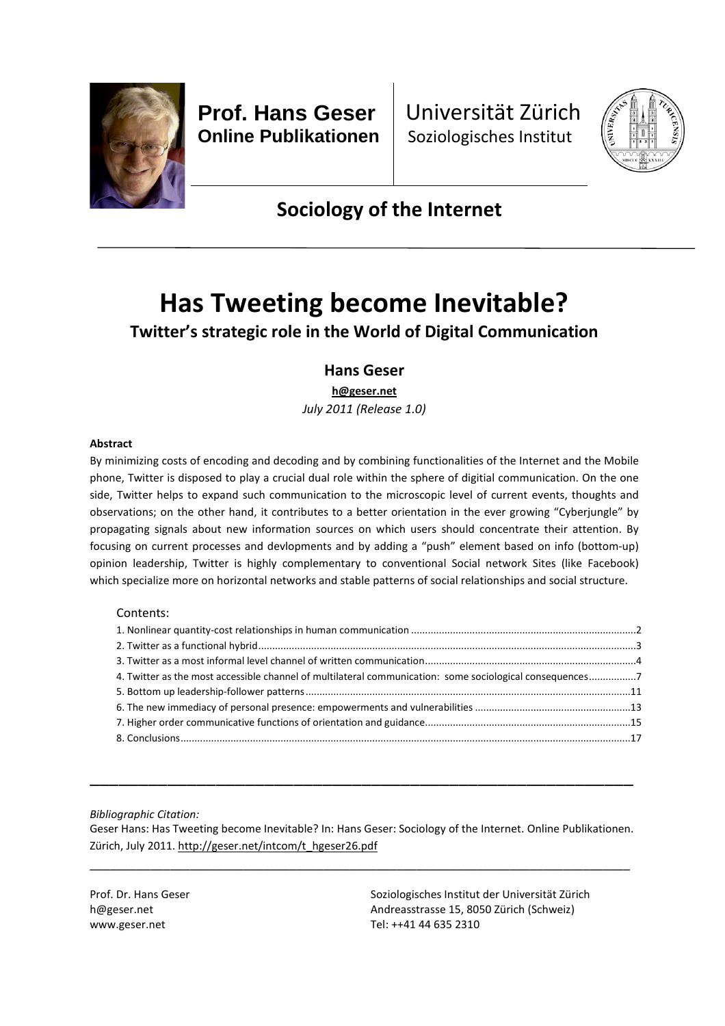

**Prof. Hans Geser Online Publikationen** Universität Zürich Soziologisches Institut



## **Sociology of the Internet**

# **Has Tweeting become Inevitable?**

### **Twitter's strategic role in the World of Digital Communication**

### **Hans Geser**

**h@geser.net**

*July 2011 (Release 1.0)*

#### **Abstract**

By minimizing costs of encoding and decoding and by combining functionalities of the Internet and the Mobile phone, Twitter is disposed to play a crucial dual role within the sphere of digitial communication. On the one side, Twitter helps to expand such communication to the microscopic level of current events, thoughts and observations; on the other hand, it contributes to a better orientation in the ever growing "Cyberjungle" by propagating signals about new information sources on which users should concentrate their attention. By focusing on current processes and devlopments and by adding a "push" element based on info (bottom-up) opinion leadership, Twitter is highly complementary to conventional Social network Sites (like Facebook) which specialize more on horizontal networks and stable patterns of social relationships and social structure.

#### Contents:

| 4. Twitter as the most accessible channel of multilateral communication: some sociological consequences7 |  |
|----------------------------------------------------------------------------------------------------------|--|
|                                                                                                          |  |
|                                                                                                          |  |
|                                                                                                          |  |
|                                                                                                          |  |

*Bibliographic Citation:*

Geser Hans: Has Tweeting become Inevitable? In: Hans Geser: Sociology of the Internet. Online Publikationen. Zürich, July 2011. http://geser.net/intcom/t\_hgeser26.pdf

\_\_\_\_\_\_\_\_\_\_\_\_\_\_\_\_\_\_\_\_\_\_\_\_\_\_\_\_\_\_\_\_\_\_\_\_\_\_\_\_\_\_\_\_\_\_\_\_\_\_\_\_\_\_\_\_\_\_\_\_\_\_\_\_\_\_\_\_\_\_\_\_\_\_\_\_\_\_\_\_\_

\_\_\_\_\_\_\_\_\_\_\_\_\_\_\_\_\_\_\_\_\_\_\_\_\_\_\_\_\_\_\_\_\_\_\_\_\_\_\_\_\_\_\_\_\_\_\_\_\_\_\_\_\_\_\_\_

Prof. Dr. Hans Geser h@geser.net www.geser.net

Soziologisches Institut der Universität Zürich Andreasstrasse 15, 8050 Zürich (Schweiz) Tel: ++41 44 635 2310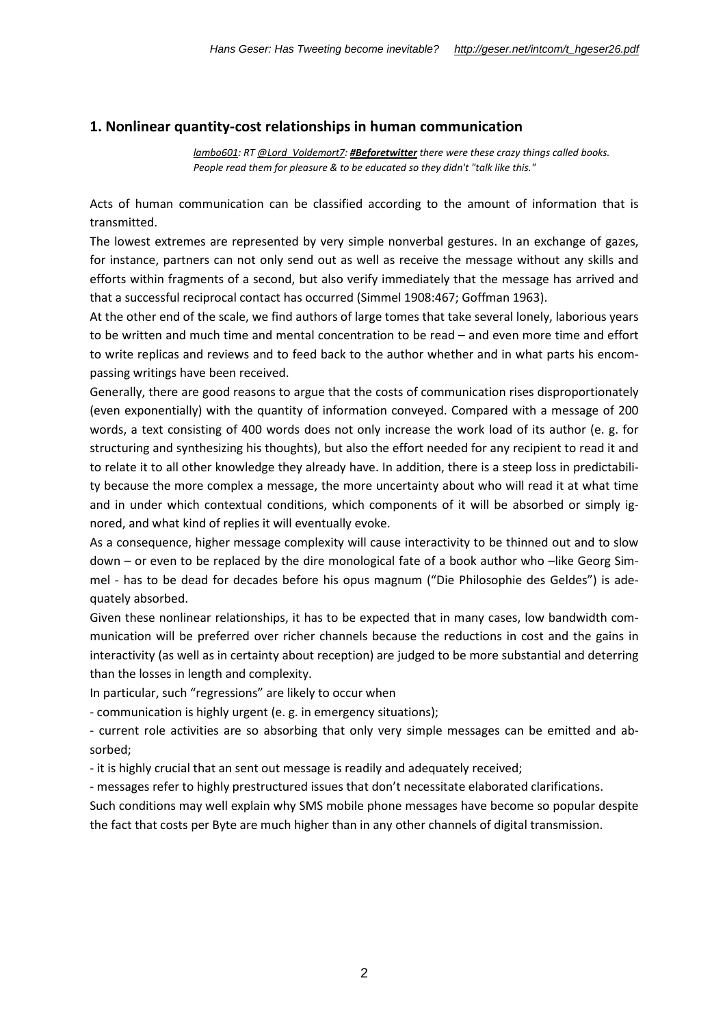#### **1. Nonlinear quantity-cost relationships in human communication**

*lambo601: RT @Lord\_Voldemort7: #Beforetwitter there were these crazy things called books. People read them for pleasure & to be educated so they didn't "talk like this."*

Acts of human communication can be classified according to the amount of information that is transmitted.

The lowest extremes are represented by very simple nonverbal gestures. In an exchange of gazes, for instance, partners can not only send out as well as receive the message without any skills and efforts within fragments of a second, but also verify immediately that the message has arrived and that a successful reciprocal contact has occurred (Simmel 1908:467; Goffman 1963).

At the other end of the scale, we find authors of large tomes that take several lonely, laborious years to be written and much time and mental concentration to be read – and even more time and effort to write replicas and reviews and to feed back to the author whether and in what parts his encompassing writings have been received.

Generally, there are good reasons to argue that the costs of communication rises disproportionately (even exponentially) with the quantity of information conveyed. Compared with a message of 200 words, a text consisting of 400 words does not only increase the work load of its author (e. g. for structuring and synthesizing his thoughts), but also the effort needed for any recipient to read it and to relate it to all other knowledge they already have. In addition, there is a steep loss in predictability because the more complex a message, the more uncertainty about who will read it at what time and in under which contextual conditions, which components of it will be absorbed or simply ignored, and what kind of replies it will eventually evoke.

As a consequence, higher message complexity will cause interactivity to be thinned out and to slow down – or even to be replaced by the dire monological fate of a book author who –like Georg Simmel - has to be dead for decades before his opus magnum ("Die Philosophie des Geldes") is adequately absorbed.

Given these nonlinear relationships, it has to be expected that in many cases, low bandwidth communication will be preferred over richer channels because the reductions in cost and the gains in interactivity (as well as in certainty about reception) are judged to be more substantial and deterring than the losses in length and complexity.

In particular, such "regressions" are likely to occur when

- communication is highly urgent (e. g. in emergency situations);

- current role activities are so absorbing that only very simple messages can be emitted and absorbed;

- it is highly crucial that an sent out message is readily and adequately received;

- messages refer to highly prestructured issues that don't necessitate elaborated clarifications.

Such conditions may well explain why SMS mobile phone messages have become so popular despite the fact that costs per Byte are much higher than in any other channels of digital transmission.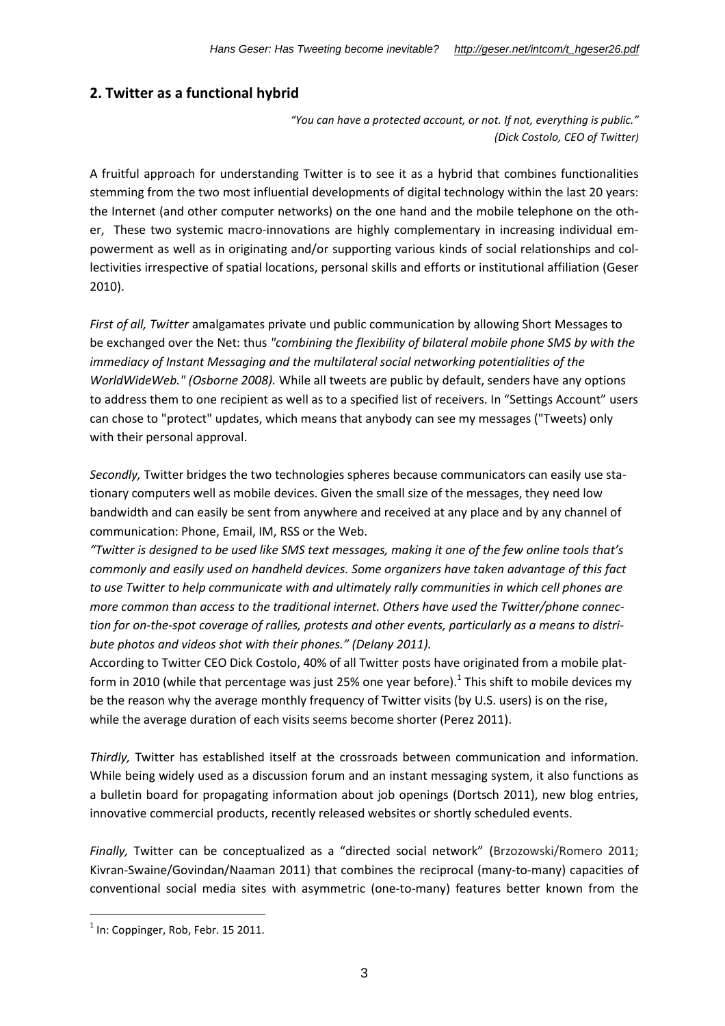### **2. Twitter as a functional hybrid**

*"You can have a protected account, or not. If not, everything is public." (Dick Costolo, CEO of Twitter)*

A fruitful approach for understanding Twitter is to see it as a hybrid that combines functionalities stemming from the two most influential developments of digital technology within the last 20 years: the Internet (and other computer networks) on the one hand and the mobile telephone on the other, These two systemic macro-innovations are highly complementary in increasing individual empowerment as well as in originating and/or supporting various kinds of social relationships and collectivities irrespective of spatial locations, personal skills and efforts or institutional affiliation (Geser 2010).

*First of all, Twitter* amalgamates private und public communication by allowing Short Messages to be exchanged over the Net: thus *"combining the flexibility of bilateral mobile phone SMS by with the immediacy of Instant Messaging and the multilateral social networking potentialities of the WorldWideWeb." (Osborne 2008).* While all tweets are public by default, senders have any options to address them to one recipient as well as to a specified list of receivers. In "Settings Account" users can chose to "protect" updates, which means that anybody can see my messages ("Tweets) only with their personal approval.

*Secondly,* Twitter bridges the two technologies spheres because communicators can easily use stationary computers well as mobile devices. Given the small size of the messages, they need low bandwidth and can easily be sent from anywhere and received at any place and by any channel of communication: Phone, Email, IM, RSS or the Web.

*"Twitter is designed to be used like SMS text messages, making it one of the few online tools that's commonly and easily used on handheld devices. Some organizers have taken advantage of this fact to use Twitter to help communicate with and ultimately rally communities in which cell phones are more common than access to the traditional internet. Others have used the Twitter/phone connection for on-the-spot coverage of rallies, protests and other events, particularly as a means to distribute photos and videos shot with their phones." (Delany 2011).*

According to Twitter CEO Dick Costolo, 40% of all Twitter posts have originated from a mobile platform in 2010 (while that percentage was just 25% one year before).<sup>1</sup> This shift to mobile devices my be the reason why the average monthly frequency of Twitter visits (by U.S. users) is on the rise, while the average duration of each visits seems become shorter (Perez 2011).

*Thirdly,* Twitter has established itself at the crossroads between communication and information. While being widely used as a discussion forum and an instant messaging system, it also functions as a bulletin board for propagating information about job openings (Dortsch 2011), new blog entries, innovative commercial products, recently released websites or shortly scheduled events.

*Finally,* Twitter can be conceptualized as a "directed social network" (Brzozowski/Romero 2011; Kivran-Swaine/Govindan/Naaman 2011) that combines the reciprocal (many-to-many) capacities of conventional social media sites with asymmetric (one-to-many) features better known from the

 $<sup>1</sup>$  In: Coppinger, Rob, Febr. 15 2011.</sup>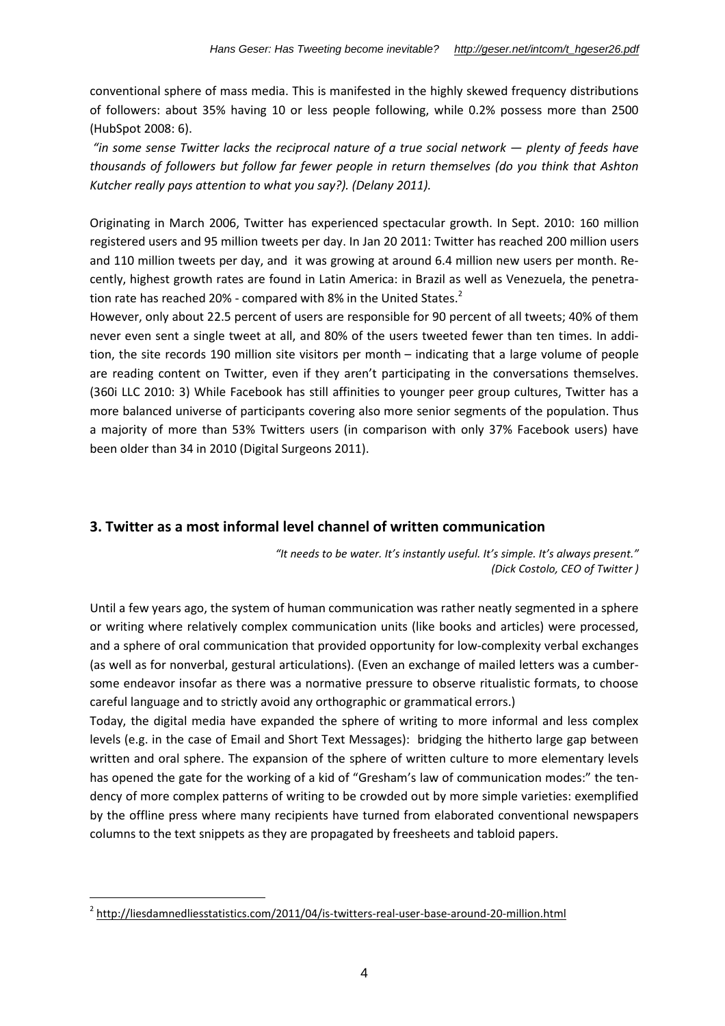conventional sphere of mass media. This is manifested in the highly skewed frequency distributions of followers: about 35% having 10 or less people following, while 0.2% possess more than 2500 (HubSpot 2008: 6).

*"in some sense Twitter lacks the reciprocal nature of a true social network — plenty of feeds have thousands of followers but follow far fewer people in return themselves (do you think that Ashton Kutcher really pays attention to what you say?). (Delany 2011).*

Originating in March 2006, Twitter has experienced spectacular growth. In Sept. 2010: 160 million registered users and 95 million tweets per day. In Jan 20 2011: Twitter has reached 200 million users and 110 million tweets per day, and it was growing at around 6.4 million new users per month. Recently, highest growth rates are found in Latin America: in Brazil as well as Venezuela, the penetration rate has reached 20% - compared with 8% in the United States. $2$ 

However, only about 22.5 percent of users are responsible for 90 percent of all tweets; 40% of them never even sent a single tweet at all, and 80% of the users tweeted fewer than ten times. In addition, the site records 190 million site visitors per month – indicating that a large volume of people are reading content on Twitter, even if they aren't participating in the conversations themselves. (360i LLC 2010: 3) While Facebook has still affinities to younger peer group cultures, Twitter has a more balanced universe of participants covering also more senior segments of the population. Thus a majority of more than 53% Twitters users (in comparison with only 37% Facebook users) have been older than 34 in 2010 (Digital Surgeons 2011).

### **3. Twitter as a most informal level channel of written communication**

*"It needs to be water. It's instantly useful. It's simple. It's always present." (Dick Costolo, CEO of Twitter )*

Until a few years ago, the system of human communication was rather neatly segmented in a sphere or writing where relatively complex communication units (like books and articles) were processed, and a sphere of oral communication that provided opportunity for low-complexity verbal exchanges (as well as for nonverbal, gestural articulations). (Even an exchange of mailed letters was a cumbersome endeavor insofar as there was a normative pressure to observe ritualistic formats, to choose careful language and to strictly avoid any orthographic or grammatical errors.)

Today, the digital media have expanded the sphere of writing to more informal and less complex levels (e.g. in the case of Email and Short Text Messages): bridging the hitherto large gap between written and oral sphere. The expansion of the sphere of written culture to more elementary levels has opened the gate for the working of a kid of "Gresham's law of communication modes:" the tendency of more complex patterns of writing to be crowded out by more simple varieties: exemplified by the offline press where many recipients have turned from elaborated conventional newspapers columns to the text snippets as they are propagated by freesheets and tabloid papers.

<sup>&</sup>lt;sup>2</sup> http://liesdamnedliesstatistics.com/2011/04/is-twitters-real-user-base-around-20-million.html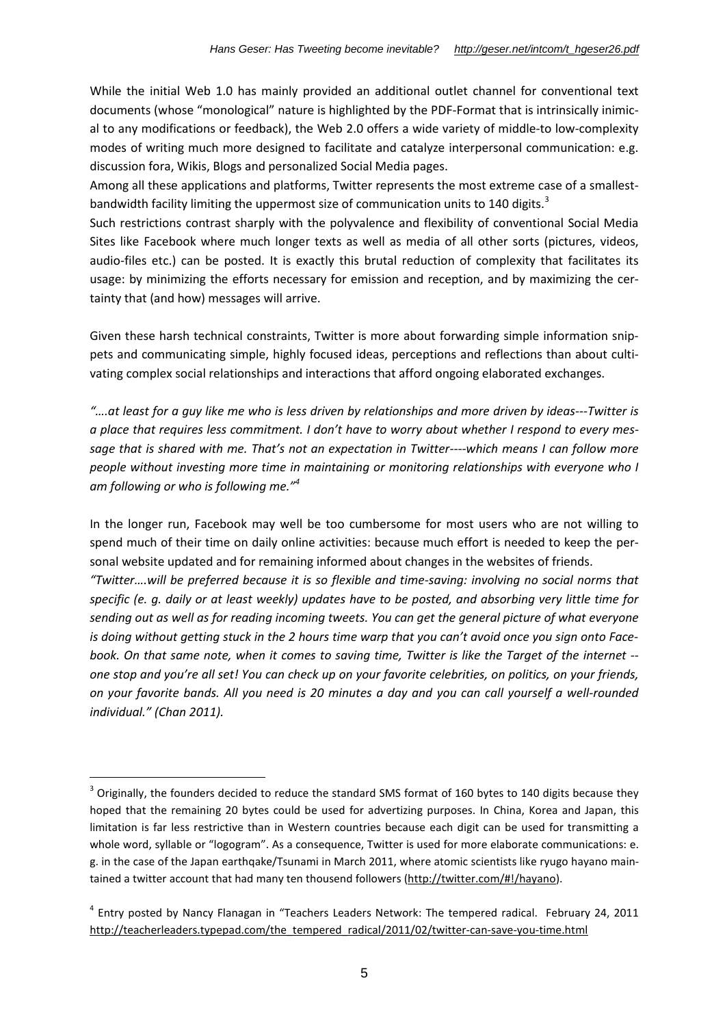While the initial Web 1.0 has mainly provided an additional outlet channel for conventional text documents (whose "monological" nature is highlighted by the PDF-Format that is intrinsically inimical to any modifications or feedback), the Web 2.0 offers a wide variety of middle-to low-complexity modes of writing much more designed to facilitate and catalyze interpersonal communication: e.g. discussion fora, Wikis, Blogs and personalized Social Media pages.

Among all these applications and platforms, Twitter represents the most extreme case of a smallestbandwidth facility limiting the uppermost size of communication units to 140 digits. $3$ 

Such restrictions contrast sharply with the polyvalence and flexibility of conventional Social Media Sites like Facebook where much longer texts as well as media of all other sorts (pictures, videos, audio-files etc.) can be posted. It is exactly this brutal reduction of complexity that facilitates its usage: by minimizing the efforts necessary for emission and reception, and by maximizing the certainty that (and how) messages will arrive.

Given these harsh technical constraints, Twitter is more about forwarding simple information snippets and communicating simple, highly focused ideas, perceptions and reflections than about cultivating complex social relationships and interactions that afford ongoing elaborated exchanges.

*"….at least for a guy like me who is less driven by relationships and more driven by ideas---Twitter is a place that requires less commitment. I don't have to worry about whether I respond to every message that is shared with me. That's not an expectation in Twitter----which means I can follow more people without investing more time in maintaining or monitoring relationships with everyone who I am following or who is following me."<sup>4</sup>*

In the longer run, Facebook may well be too cumbersome for most users who are not willing to spend much of their time on daily online activities: because much effort is needed to keep the personal website updated and for remaining informed about changes in the websites of friends.

*"Twitter….will be preferred because it is so flexible and time-saving: involving no social norms that specific (e. g. daily or at least weekly) updates have to be posted, and absorbing very little time for sending out as well as for reading incoming tweets. You can get the general picture of what everyone is doing without getting stuck in the 2 hours time warp that you can't avoid once you sign onto Facebook. On that same note, when it comes to saving time, Twitter is like the Target of the internet - one stop and you're all set! You can check up on your favorite celebrities, on politics, on your friends, on your favorite bands. All you need is 20 minutes a day and you can call yourself a well-rounded individual." (Chan 2011).*

 $^3$  Originally, the founders decided to reduce the standard SMS format of 160 bytes to 140 digits because they hoped that the remaining 20 bytes could be used for advertizing purposes. In China, Korea and Japan, this limitation is far less restrictive than in Western countries because each digit can be used for transmitting a whole word, syllable or "logogram". As a consequence, Twitter is used for more elaborate communications: e. g. in the case of the Japan earthqake/Tsunami in March 2011, where atomic scientists like ryugo hayano maintained a twitter account that had many ten thousend followers (http://twitter.com/#!/hayano).

<sup>&</sup>lt;sup>4</sup> Entry posted by Nancy Flanagan in "Teachers Leaders Network: The tempered radical. February 24, 2011 http://teacherleaders.typepad.com/the\_tempered\_radical/2011/02/twitter-can-save-you-time.html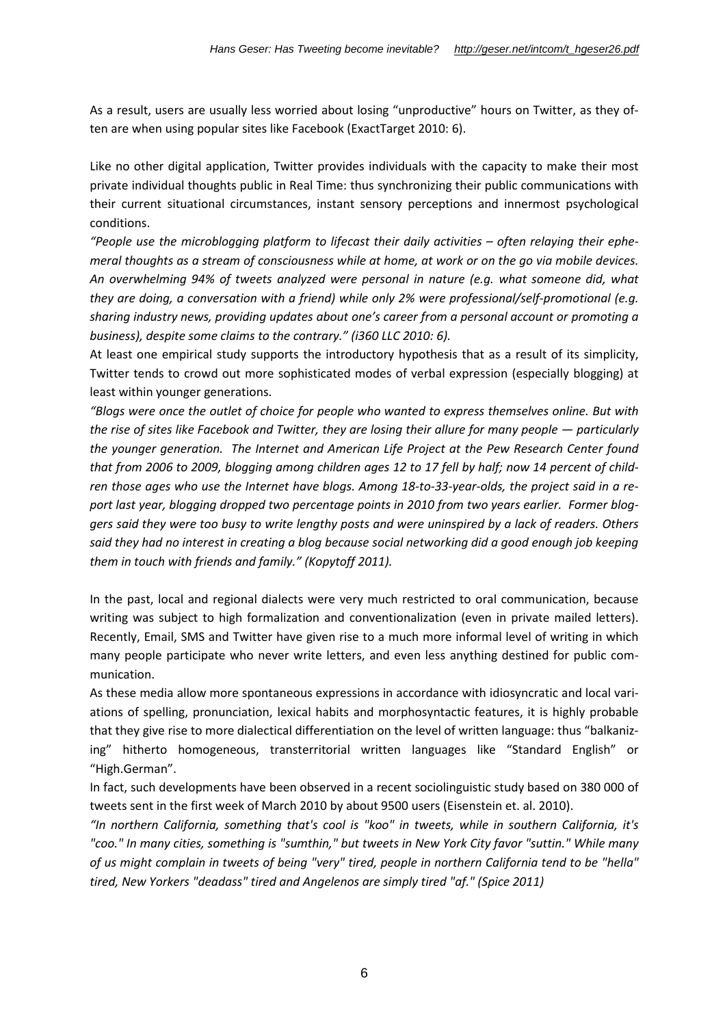As a result, users are usually less worried about losing "unproductive" hours on Twitter, as they often are when using popular sites like Facebook (ExactTarget 2010: 6).

Like no other digital application, Twitter provides individuals with the capacity to make their most private individual thoughts public in Real Time: thus synchronizing their public communications with their current situational circumstances, instant sensory perceptions and innermost psychological conditions.

*"People use the microblogging platform to lifecast their daily activities – often relaying their ephemeral thoughts as a stream of consciousness while at home, at work or on the go via mobile devices. An overwhelming 94% of tweets analyzed were personal in nature (e.g. what someone did, what they are doing, a conversation with a friend) while only 2% were professional/self-promotional (e.g. sharing industry news, providing updates about one's career from a personal account or promoting a business), despite some claims to the contrary." (i360 LLC 2010: 6).*

At least one empirical study supports the introductory hypothesis that as a result of its simplicity, Twitter tends to crowd out more sophisticated modes of verbal expression (especially blogging) at least within younger generations.

*"Blogs were once the outlet of choice for people who wanted to express themselves online. But with the rise of sites like Facebook and Twitter, they are losing their allure for many people — particularly the younger generation. The Internet and American Life Project at the Pew Research Center found that from 2006 to 2009, blogging among children ages 12 to 17 fell by half; now 14 percent of children those ages who use the Internet have blogs. Among 18-to-33-year-olds, the project said in a report last year, blogging dropped two percentage points in 2010 from two years earlier. Former bloggers said they were too busy to write lengthy posts and were uninspired by a lack of readers. Others said they had no interest in creating a blog because social networking did a good enough job keeping them in touch with friends and family." (Kopytoff 2011).*

In the past, local and regional dialects were very much restricted to oral communication, because writing was subject to high formalization and conventionalization (even in private mailed letters). Recently, Email, SMS and Twitter have given rise to a much more informal level of writing in which many people participate who never write letters, and even less anything destined for public communication.

As these media allow more spontaneous expressions in accordance with idiosyncratic and local variations of spelling, pronunciation, lexical habits and morphosyntactic features, it is highly probable that they give rise to more dialectical differentiation on the level of written language: thus "balkanizing" hitherto homogeneous, transterritorial written languages like "Standard English" or "High.German".

In fact, such developments have been observed in a recent sociolinguistic study based on 380 000 of tweets sent in the first week of March 2010 by about 9500 users (Eisenstein et. al. 2010).

*"In northern California, something that's cool is "koo" in tweets, while in southern California, it's "coo." In many cities, something is "sumthin," but tweets in New York City favor "suttin." While many of us might complain in tweets of being "very" tired, people in northern California tend to be "hella" tired, New Yorkers "deadass" tired and Angelenos are simply tired "af." (Spice 2011)*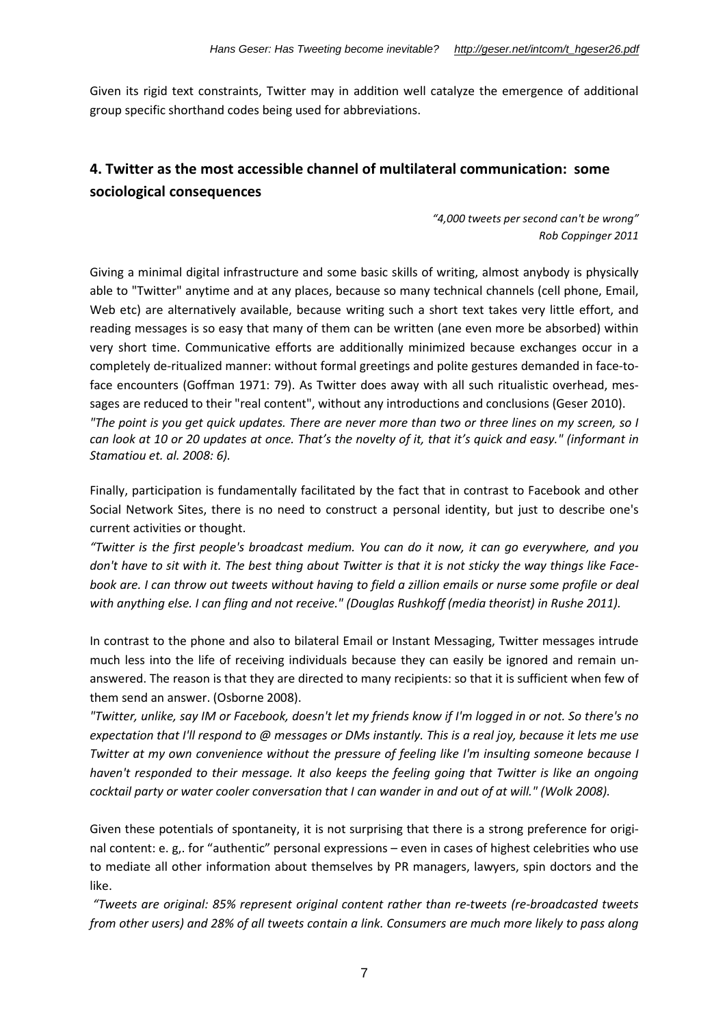Given its rigid text constraints, Twitter may in addition well catalyze the emergence of additional group specific shorthand codes being used for abbreviations.

### **4. Twitter as the most accessible channel of multilateral communication: some sociological consequences**

*"4,000 tweets per second can't be wrong" Rob Coppinger 2011*

Giving a minimal digital infrastructure and some basic skills of writing, almost anybody is physically able to "Twitter" anytime and at any places, because so many technical channels (cell phone, Email, Web etc) are alternatively available, because writing such a short text takes very little effort, and reading messages is so easy that many of them can be written (ane even more be absorbed) within very short time. Communicative efforts are additionally minimized because exchanges occur in a completely de-ritualized manner: without formal greetings and polite gestures demanded in face-toface encounters (Goffman 1971: 79). As Twitter does away with all such ritualistic overhead, messages are reduced to their "real content", without any introductions and conclusions (Geser 2010). *"The point is you get quick updates. There are never more than two or three lines on my screen, so I can look at 10 or 20 updates at once. That's the novelty of it, that it's quick and easy." (informant in Stamatiou et. al. 2008: 6).*

Finally, participation is fundamentally facilitated by the fact that in contrast to Facebook and other Social Network Sites, there is no need to construct a personal identity, but just to describe one's current activities or thought.

*"Twitter is the first people's broadcast medium. You can do it now, it can go everywhere, and you don't have to sit with it. The best thing about Twitter is that it is not sticky the way things like Facebook are. I can throw out tweets without having to field a zillion emails or nurse some profile or deal with anything else. I can fling and not receive." (Douglas Rushkoff (media theorist) in Rushe 2011).*

In contrast to the phone and also to bilateral Email or Instant Messaging, Twitter messages intrude much less into the life of receiving individuals because they can easily be ignored and remain unanswered. The reason is that they are directed to many recipients: so that it is sufficient when few of them send an answer. (Osborne 2008).

*"Twitter, unlike, say IM or Facebook, doesn't let my friends know if I'm logged in or not. So there's no expectation that I'll respond to @ messages or DMs instantly. This is a real joy, because it lets me use Twitter at my own convenience without the pressure of feeling like I'm insulting someone because I haven't responded to their message. It also keeps the feeling going that Twitter is like an ongoing cocktail party or water cooler conversation that I can wander in and out of at will." (Wolk 2008).*

Given these potentials of spontaneity, it is not surprising that there is a strong preference for original content: e. g,. for "authentic" personal expressions – even in cases of highest celebrities who use to mediate all other information about themselves by PR managers, lawyers, spin doctors and the like.

*"Tweets are original: 85% represent original content rather than re-tweets (re-broadcasted tweets from other users) and 28% of all tweets contain a link. Consumers are much more likely to pass along*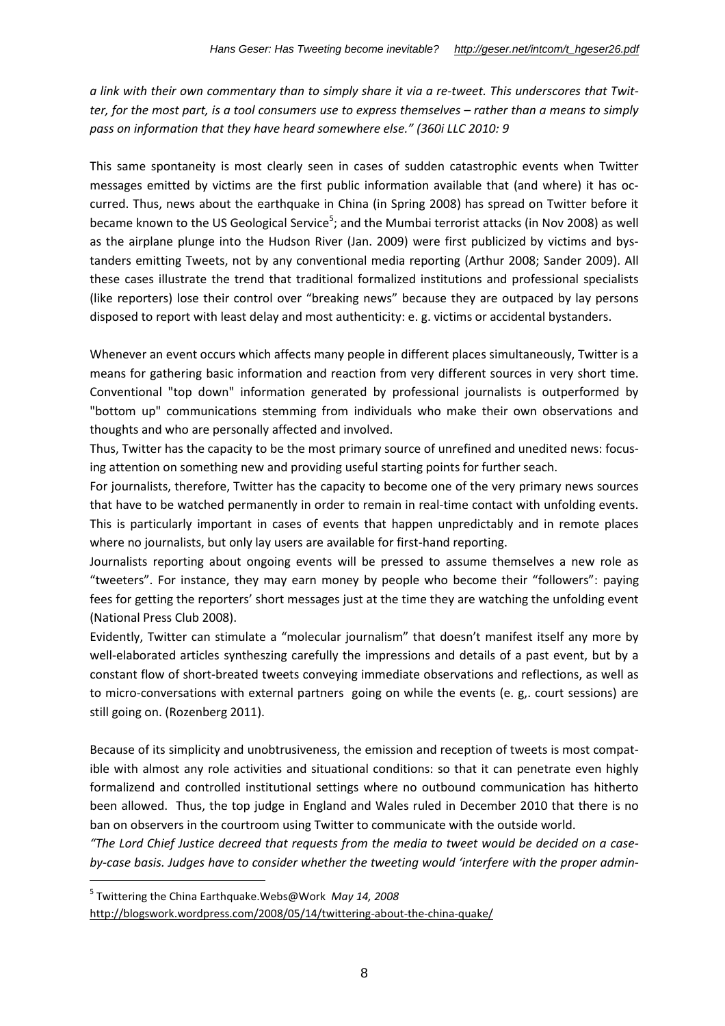*a link with their own commentary than to simply share it via a re-tweet. This underscores that Twitter, for the most part, is a tool consumers use to express themselves – rather than a means to simply pass on information that they have heard somewhere else." (360i LLC 2010: 9*

This same spontaneity is most clearly seen in cases of sudden catastrophic events when Twitter messages emitted by victims are the first public information available that (and where) it has occurred. Thus, news about the earthquake in China (in Spring 2008) has spread on Twitter before it became known to the US Geological Service<sup>5</sup>; and the Mumbai terrorist attacks (in Nov 2008) as well as the airplane plunge into the Hudson River (Jan. 2009) were first publicized by victims and bystanders emitting Tweets, not by any conventional media reporting (Arthur 2008; Sander 2009). All these cases illustrate the trend that traditional formalized institutions and professional specialists (like reporters) lose their control over "breaking news" because they are outpaced by lay persons disposed to report with least delay and most authenticity: e. g. victims or accidental bystanders.

Whenever an event occurs which affects many people in different places simultaneously, Twitter is a means for gathering basic information and reaction from very different sources in very short time. Conventional "top down" information generated by professional journalists is outperformed by "bottom up" communications stemming from individuals who make their own observations and thoughts and who are personally affected and involved.

Thus, Twitter has the capacity to be the most primary source of unrefined and unedited news: focusing attention on something new and providing useful starting points for further seach.

For journalists, therefore, Twitter has the capacity to become one of the very primary news sources that have to be watched permanently in order to remain in real-time contact with unfolding events. This is particularly important in cases of events that happen unpredictably and in remote places where no journalists, but only lay users are available for first-hand reporting.

Journalists reporting about ongoing events will be pressed to assume themselves a new role as "tweeters". For instance, they may earn money by people who become their "followers": paying fees for getting the reporters' short messages just at the time they are watching the unfolding event (National Press Club 2008).

Evidently, Twitter can stimulate a "molecular journalism" that doesn't manifest itself any more by well-elaborated articles syntheszing carefully the impressions and details of a past event, but by a constant flow of short-breated tweets conveying immediate observations and reflections, as well as to micro-conversations with external partners going on while the events (e. g,. court sessions) are still going on. (Rozenberg 2011).

Because of its simplicity and unobtrusiveness, the emission and reception of tweets is most compatible with almost any role activities and situational conditions: so that it can penetrate even highly formalizend and controlled institutional settings where no outbound communication has hitherto been allowed. Thus, the top judge in England and Wales ruled in December 2010 that there is no ban on observers in the courtroom using Twitter to communicate with the outside world.

*"The Lord Chief Justice decreed that requests from the media to tweet would be decided on a caseby-case basis. Judges have to consider whether the tweeting would 'interfere with the proper admin-*

<sup>5</sup> Twittering the China Earthquake.Webs@Work *May 14, 2008*

http://blogswork.wordpress.com/2008/05/14/twittering-about-the-china-quake/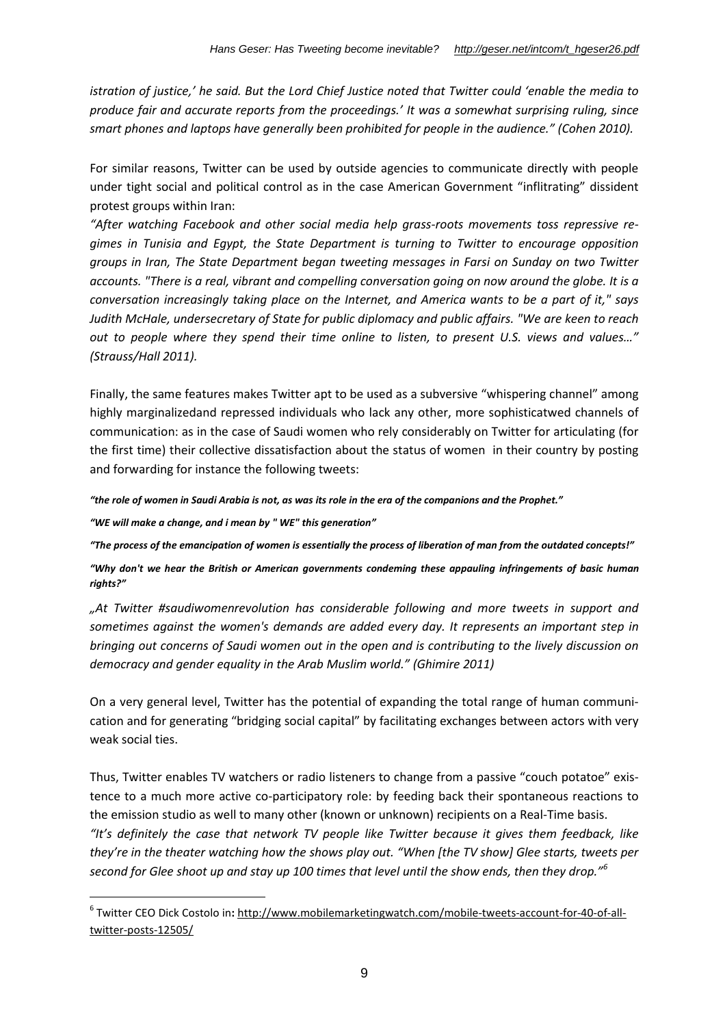*istration of justice,' he said. But the Lord Chief Justice noted that Twitter could 'enable the media to produce fair and accurate reports from the proceedings.' It was a somewhat surprising ruling, since smart phones and laptops have generally been prohibited for people in the audience." (Cohen 2010).*

For similar reasons, Twitter can be used by outside agencies to communicate directly with people under tight social and political control as in the case American Government "inflitrating" dissident protest groups within Iran:

*"After watching Facebook and other social media help grass-roots movements toss repressive regimes in Tunisia and Egypt, the State Department is turning to Twitter to encourage opposition groups in Iran, The State Department began tweeting messages in Farsi on Sunday on two Twitter accounts. "There is a real, vibrant and compelling conversation going on now around the globe. It is a conversation increasingly taking place on the Internet, and America wants to be a part of it," says Judith McHale, undersecretary of State for public diplomacy and public affairs. "We are keen to reach out to people where they spend their time online to listen, to present U.S. views and values…" (Strauss/Hall 2011).*

Finally, the same features makes Twitter apt to be used as a subversive "whispering channel" among highly marginalizedand repressed individuals who lack any other, more sophisticatwed channels of communication: as in the case of Saudi women who rely considerably on Twitter for articulating (for the first time) their collective dissatisfaction about the status of women in their country by posting and forwarding for instance the following tweets:

*"the role of women in Saudi Arabia is not, as was its role in the era of the companions and the Prophet."*

*"WE will make a change, and i mean by " WE" this generation"*

*"The process of the emancipation of women is essentially the process of liberation of man from the outdated concepts!"*

*"Why don't we hear the British or American governments condeming these appauling infringements of basic human rights?"*

*"At Twitter #saudiwomenrevolution has considerable following and more tweets in support and sometimes against the women's demands are added every day. It represents an important step in bringing out concerns of Saudi women out in the open and is contributing to the lively discussion on democracy and gender equality in the Arab Muslim world." (Ghimire 2011)*

On a very general level, Twitter has the potential of expanding the total range of human communication and for generating "bridging social capital" by facilitating exchanges between actors with very weak social ties.

Thus, Twitter enables TV watchers or radio listeners to change from a passive "couch potatoe" existence to a much more active co-participatory role: by feeding back their spontaneous reactions to the emission studio as well to many other (known or unknown) recipients on a Real-Time basis. *"It's definitely the case that network TV people like Twitter because it gives them feedback, like they're in the theater watching how the shows play out. "When [the TV show] Glee starts, tweets per second for Glee shoot up and stay up 100 times that level until the show ends, then they drop."<sup>6</sup>*

<sup>6</sup> Twitter CEO Dick Costolo in**:** http://www.mobilemarketingwatch.com/mobile-tweets-account-for-40-of-alltwitter-posts-12505/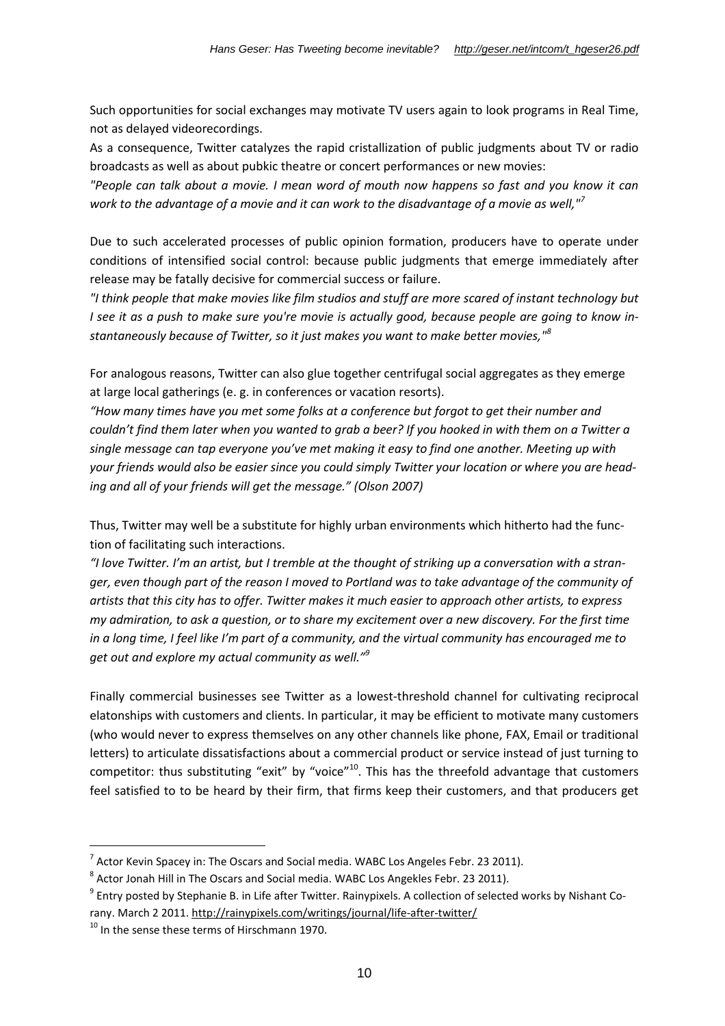Such opportunities for social exchanges may motivate TV users again to look programs in Real Time, not as delayed videorecordings.

As a consequence, Twitter catalyzes the rapid cristallization of public judgments about TV or radio broadcasts as well as about pubkic theatre or concert performances or new movies:

*"People can talk about a movie. I mean word of mouth now happens so fast and you know it can work to the advantage of a movie and it can work to the disadvantage of a movie as well,"<sup>7</sup>*

Due to such accelerated processes of public opinion formation, producers have to operate under conditions of intensified social control: because public judgments that emerge immediately after release may be fatally decisive for commercial success or failure.

*"I think people that make movies like film studios and stuff are more scared of instant technology but I see it as a push to make sure you're movie is actually good, because people are going to know instantaneously because of Twitter, so it just makes you want to make better movies,"<sup>8</sup>*

For analogous reasons, Twitter can also glue together centrifugal social aggregates as they emerge at large local gatherings (e. g. in conferences or vacation resorts).

*"How many times have you met some folks at a conference but forgot to get their number and couldn't find them later when you wanted to grab a beer? If you hooked in with them on a Twitter a single message can tap everyone you've met making it easy to find one another. Meeting up with your friends would also be easier since you could simply Twitter your location or where you are heading and all of your friends will get the message." (Olson 2007)*

Thus, Twitter may well be a substitute for highly urban environments which hitherto had the function of facilitating such interactions.

*"I love Twitter. I'm an artist, but I tremble at the thought of striking up a conversation with a stranger, even though part of the reason I moved to Portland was to take advantage of the community of artists that this city has to offer. Twitter makes it much easier to approach other artists, to express my admiration, to ask a question, or to share my excitement over a new discovery. For the first time in a long time, I feel like I'm part of a community, and the virtual community has encouraged me to get out and explore my actual community as well."<sup>9</sup>*

Finally commercial businesses see Twitter as a lowest-threshold channel for cultivating reciprocal elatonships with customers and clients. In particular, it may be efficient to motivate many customers (who would never to express themselves on any other channels like phone, FAX, Email or traditional letters) to articulate dissatisfactions about a commercial product or service instead of just turning to competitor: thus substituting "exit" by "voice"<sup>10</sup>. This has the threefold advantage that customers feel satisfied to to be heard by their firm, that firms keep their customers, and that producers get

 $^7$  Actor Kevin Spacey in: The Oscars and Social media. WABC Los Angeles Febr. 23 2011).

 $^8$  Actor Jonah Hill in The Oscars and Social media. WABC Los Angekles Febr. 23 2011).

 $^9$  Entry posted by Stephanie B. in Life after Twitter. Rainypixels. A collection of selected works by Nishant Corany. March 2 2011. http://rainypixels.com/writings/journal/life-after-twitter/

 $10$  In the sense these terms of Hirschmann 1970.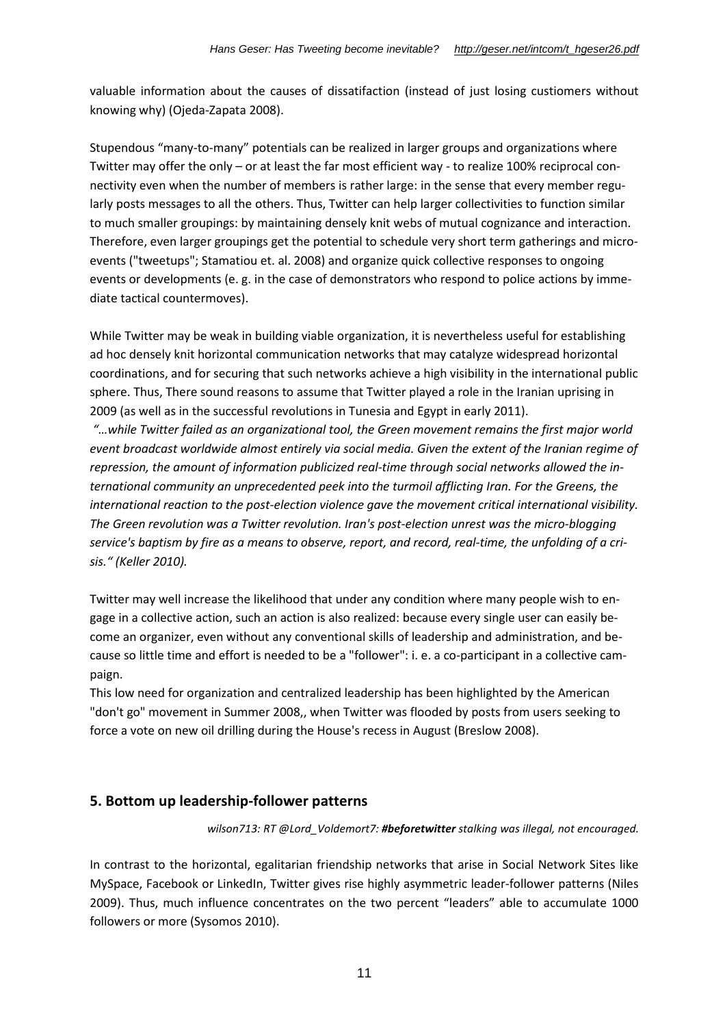valuable information about the causes of dissatifaction (instead of just losing custiomers without knowing why) (Ojeda-Zapata 2008).

Stupendous "many-to-many" potentials can be realized in larger groups and organizations where Twitter may offer the only – or at least the far most efficient way - to realize 100% reciprocal connectivity even when the number of members is rather large: in the sense that every member regularly posts messages to all the others. Thus, Twitter can help larger collectivities to function similar to much smaller groupings: by maintaining densely knit webs of mutual cognizance and interaction. Therefore, even larger groupings get the potential to schedule very short term gatherings and microevents ("tweetups"; Stamatiou et. al. 2008) and organize quick collective responses to ongoing events or developments (e. g. in the case of demonstrators who respond to police actions by immediate tactical countermoves).

While Twitter may be weak in building viable organization, it is nevertheless useful for establishing ad hoc densely knit horizontal communication networks that may catalyze widespread horizontal coordinations, and for securing that such networks achieve a high visibility in the international public sphere. Thus, There sound reasons to assume that Twitter played a role in the Iranian uprising in 2009 (as well as in the successful revolutions in Tunesia and Egypt in early 2011).

*"…while Twitter failed as an organizational tool, the Green movement remains the first major world event broadcast worldwide almost entirely via social media. Given the extent of the Iranian regime of repression, the amount of information publicized real-time through social networks allowed the international community an unprecedented peek into the turmoil afflicting Iran. For the Greens, the international reaction to the post-election violence gave the movement critical international visibility. The Green revolution was a Twitter revolution. Iran's post-election unrest was the micro-blogging service's baptism by fire as a means to observe, report, and record, real-time, the unfolding of a crisis." (Keller 2010).*

Twitter may well increase the likelihood that under any condition where many people wish to engage in a collective action, such an action is also realized: because every single user can easily become an organizer, even without any conventional skills of leadership and administration, and because so little time and effort is needed to be a "follower": i. e. a co-participant in a collective campaign.

This low need for organization and centralized leadership has been highlighted by the American "don't go" movement in Summer 2008,, when Twitter was flooded by posts from users seeking to force a vote on new oil drilling during the House's recess in August (Breslow 2008).

### **5. Bottom up leadership-follower patterns**

*wilson713: RT @Lord\_Voldemort7: #beforetwitter stalking was illegal, not encouraged.*

In contrast to the horizontal, egalitarian friendship networks that arise in Social Network Sites like MySpace, Facebook or LinkedIn, Twitter gives rise highly asymmetric leader-follower patterns (Niles 2009). Thus, much influence concentrates on the two percent "leaders" able to accumulate 1000 followers or more (Sysomos 2010).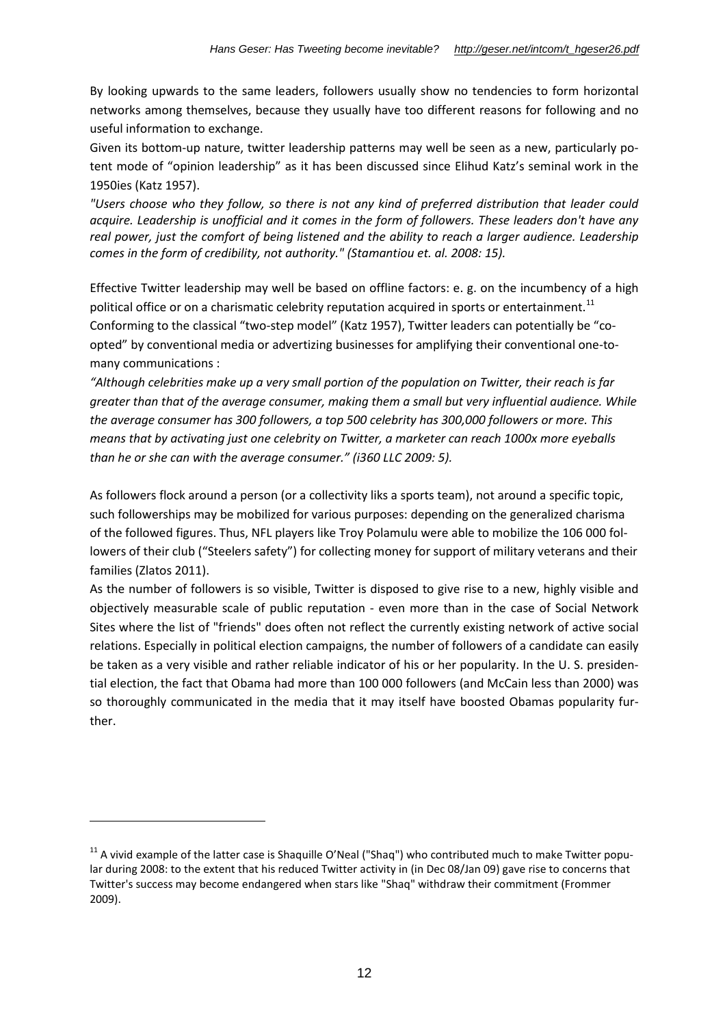By looking upwards to the same leaders, followers usually show no tendencies to form horizontal networks among themselves, because they usually have too different reasons for following and no useful information to exchange.

Given its bottom-up nature, twitter leadership patterns may well be seen as a new, particularly potent mode of "opinion leadership" as it has been discussed since Elihud Katz's seminal work in the 1950ies (Katz 1957).

*"Users choose who they follow, so there is not any kind of preferred distribution that leader could acquire. Leadership is unofficial and it comes in the form of followers. These leaders don't have any real power, just the comfort of being listened and the ability to reach a larger audience. Leadership comes in the form of credibility, not authority." (Stamantiou et. al. 2008: 15).*

Effective Twitter leadership may well be based on offline factors: e. g. on the incumbency of a high political office or on a charismatic celebrity reputation acquired in sports or entertainment.<sup>11</sup> Conforming to the classical "two-step model" (Katz 1957), Twitter leaders can potentially be "coopted" by conventional media or advertizing businesses for amplifying their conventional one-tomany communications :

*"Although celebrities make up a very small portion of the population on Twitter, their reach is far greater than that of the average consumer, making them a small but very influential audience. While the average consumer has 300 followers, a top 500 celebrity has 300,000 followers or more. This means that by activating just one celebrity on Twitter, a marketer can reach 1000x more eyeballs than he or she can with the average consumer." (i360 LLC 2009: 5).*

As followers flock around a person (or a collectivity liks a sports team), not around a specific topic, such followerships may be mobilized for various purposes: depending on the generalized charisma of the followed figures. Thus, NFL players like Troy Polamulu were able to mobilize the 106 000 followers of their club ("Steelers safety") for collecting money for support of military veterans and their families (Zlatos 2011).

As the number of followers is so visible, Twitter is disposed to give rise to a new, highly visible and objectively measurable scale of public reputation - even more than in the case of Social Network Sites where the list of "friends" does often not reflect the currently existing network of active social relations. Especially in political election campaigns, the number of followers of a candidate can easily be taken as a very visible and rather reliable indicator of his or her popularity. In the U. S. presidential election, the fact that Obama had more than 100 000 followers (and McCain less than 2000) was so thoroughly communicated in the media that it may itself have boosted Obamas popularity further.

 $11$  A vivid example of the latter case is Shaquille O'Neal ("Shaq") who contributed much to make Twitter popular during 2008: to the extent that his reduced Twitter activity in (in Dec 08/Jan 09) gave rise to concerns that Twitter's success may become endangered when stars like "Shaq" withdraw their commitment (Frommer 2009).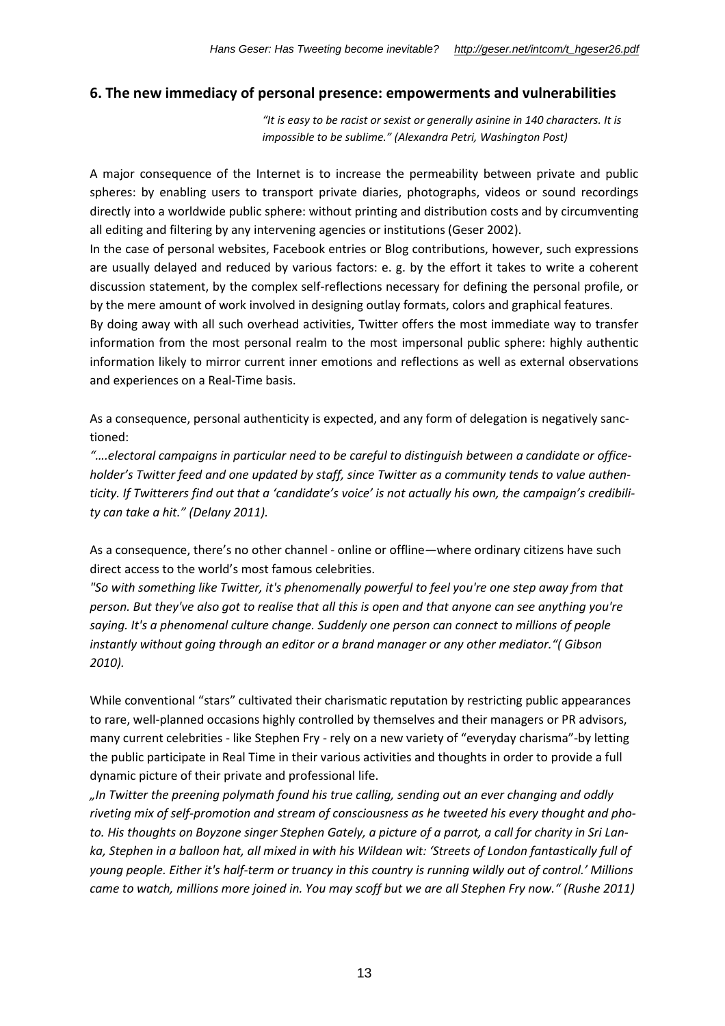### **6. The new immediacy of personal presence: empowerments and vulnerabilities**

*"It is easy to be racist or sexist or generally asinine in 140 characters. It is impossible to be sublime." (Alexandra Petri, Washington Post)*

A major consequence of the Internet is to increase the permeability between private and public spheres: by enabling users to transport private diaries, photographs, videos or sound recordings directly into a worldwide public sphere: without printing and distribution costs and by circumventing all editing and filtering by any intervening agencies or institutions (Geser 2002).

In the case of personal websites, Facebook entries or Blog contributions, however, such expressions are usually delayed and reduced by various factors: e. g. by the effort it takes to write a coherent discussion statement, by the complex self-reflections necessary for defining the personal profile, or by the mere amount of work involved in designing outlay formats, colors and graphical features.

By doing away with all such overhead activities, Twitter offers the most immediate way to transfer information from the most personal realm to the most impersonal public sphere: highly authentic information likely to mirror current inner emotions and reflections as well as external observations and experiences on a Real-Time basis.

As a consequence, personal authenticity is expected, and any form of delegation is negatively sanctioned:

*"….electoral campaigns in particular need to be careful to distinguish between a candidate or officeholder's Twitter feed and one updated by staff, since Twitter as a community tends to value authenticity. If Twitterers find out that a 'candidate's voice' is not actually his own, the campaign's credibility can take a hit." (Delany 2011).*

As a consequence, there's no other channel - online or offline—where ordinary citizens have such direct access to the world's most famous celebrities.

*"So with something like Twitter, it's phenomenally powerful to feel you're one step away from that person. But they've also got to realise that all this is open and that anyone can see anything you're saying. It's a phenomenal culture change. Suddenly one person can connect to millions of people instantly without going through an editor or a brand manager or any other mediator."( Gibson 2010).*

While conventional "stars" cultivated their charismatic reputation by restricting public appearances to rare, well-planned occasions highly controlled by themselves and their managers or PR advisors, many current celebrities - like Stephen Fry - rely on a new variety of "everyday charisma"-by letting the public participate in Real Time in their various activities and thoughts in order to provide a full dynamic picture of their private and professional life.

*"In Twitter the preening polymath found his true calling, sending out an ever changing and oddly riveting mix of self-promotion and stream of consciousness as he tweeted his every thought and photo. His thoughts on Boyzone singer Stephen Gately, a picture of a parrot, a call for charity in Sri Lanka, Stephen in a balloon hat, all mixed in with his Wildean wit: 'Streets of London fantastically full of young people. Either it's half-term or truancy in this country is running wildly out of control.' Millions came to watch, millions more joined in. You may scoff but we are all Stephen Fry now." (Rushe 2011)*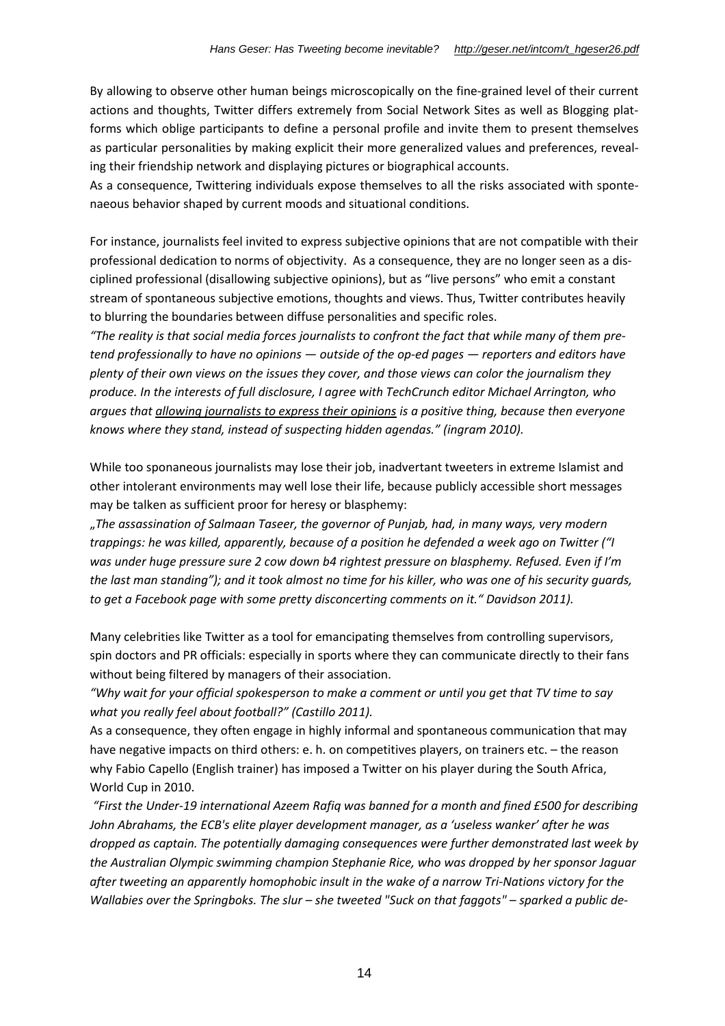By allowing to observe other human beings microscopically on the fine-grained level of their current actions and thoughts, Twitter differs extremely from Social Network Sites as well as Blogging platforms which oblige participants to define a personal profile and invite them to present themselves as particular personalities by making explicit their more generalized values and preferences, revealing their friendship network and displaying pictures or biographical accounts.

As a consequence, Twittering individuals expose themselves to all the risks associated with spontenaeous behavior shaped by current moods and situational conditions.

For instance, journalists feel invited to express subjective opinions that are not compatible with their professional dedication to norms of objectivity. As a consequence, they are no longer seen as a disciplined professional (disallowing subjective opinions), but as "live persons" who emit a constant stream of spontaneous subjective emotions, thoughts and views. Thus, Twitter contributes heavily to blurring the boundaries between diffuse personalities and specific roles.

*"The reality is that social media forces journalists to confront the fact that while many of them pretend professionally to have no opinions — outside of the op-ed pages — reporters and editors have plenty of their own views on the issues they cover, and those views can color the journalism they produce. In the interests of full disclosure, I agree with TechCrunch editor Michael Arrington, who argues that allowing journalists to express their opinions is a positive thing, because then everyone knows where they stand, instead of suspecting hidden agendas." (ingram 2010).*

While too sponaneous journalists may lose their job, inadvertant tweeters in extreme Islamist and other intolerant environments may well lose their life, because publicly accessible short messages may be talken as sufficient proor for heresy or blasphemy:

"*The assassination of Salmaan Taseer, the governor of Punjab, had, in many ways, very modern trappings: he was killed, apparently, because of a position he defended a week ago on Twitter ("I was under huge pressure sure 2 cow down b4 rightest pressure on blasphemy. Refused. Even if I'm the last man standing"); and it took almost no time for his killer, who was one of his security guards, to get a Facebook page with some pretty disconcerting comments on it." Davidson 2011).*

Many celebrities like Twitter as a tool for emancipating themselves from controlling supervisors, spin doctors and PR officials: especially in sports where they can communicate directly to their fans without being filtered by managers of their association.

*"Why wait for your official spokesperson to make a comment or until you get that TV time to say what you really feel about football?" (Castillo 2011).*

As a consequence, they often engage in highly informal and spontaneous communication that may have negative impacts on third others: e. h. on competitives players, on trainers etc. - the reason why Fabio Capello (English trainer) has imposed a Twitter on his player during the South Africa, World Cup in 2010.

*"First the Under-19 international Azeem Rafiq was banned for a month and fined £500 for describing John Abrahams, the ECB's elite player development manager, as a 'useless wanker' after he was dropped as captain. The potentially damaging consequences were further demonstrated last week by the Australian Olympic swimming champion Stephanie Rice, who was dropped by her sponsor Jaguar after tweeting an apparently homophobic insult in the wake of a narrow Tri-Nations victory for the Wallabies over the Springboks. The slur – she tweeted "Suck on that faggots" – sparked a public de-*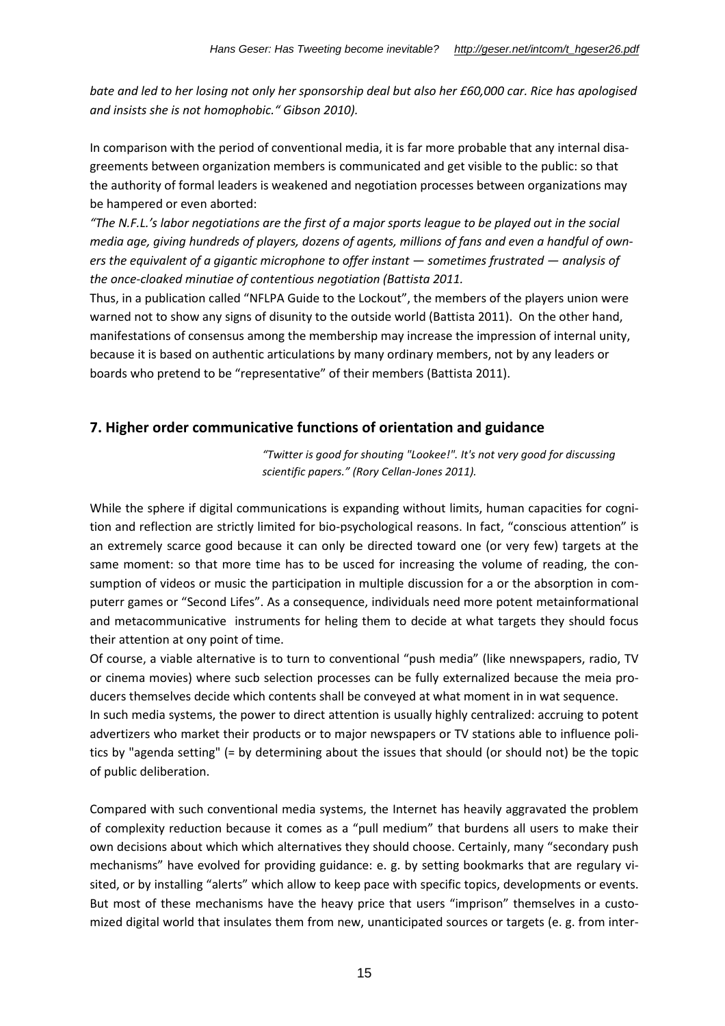*bate and led to her losing not only her sponsorship deal but also her £60,000 car. Rice has apologised and insists she is not homophobic." Gibson 2010).*

In comparison with the period of conventional media, it is far more probable that any internal disagreements between organization members is communicated and get visible to the public: so that the authority of formal leaders is weakened and negotiation processes between organizations may be hampered or even aborted:

*"The N.F.L.'s labor negotiations are the first of a major sports league to be played out in the social media age, giving hundreds of players, dozens of agents, millions of fans and even a handful of owners the equivalent of a gigantic microphone to offer instant — sometimes frustrated — analysis of the once-cloaked minutiae of contentious negotiation (Battista 2011.*

Thus, in a publication called "NFLPA Guide to the Lockout", the members of the players union were warned not to show any signs of disunity to the outside world (Battista 2011). On the other hand, manifestations of consensus among the membership may increase the impression of internal unity, because it is based on authentic articulations by many ordinary members, not by any leaders or boards who pretend to be "representative" of their members (Battista 2011).

### **7. Higher order communicative functions of orientation and guidance**

*"Twitter is good for shouting "Lookee!". It's not very good for discussing scientific papers." (Rory Cellan-Jones 2011).*

While the sphere if digital communications is expanding without limits, human capacities for cognition and reflection are strictly limited for bio-psychological reasons. In fact, "conscious attention" is an extremely scarce good because it can only be directed toward one (or very few) targets at the same moment: so that more time has to be usced for increasing the volume of reading, the consumption of videos or music the participation in multiple discussion for a or the absorption in computerr games or "Second Lifes". As a consequence, individuals need more potent metainformational and metacommunicative instruments for heling them to decide at what targets they should focus their attention at ony point of time.

Of course, a viable alternative is to turn to conventional "push media" (like nnewspapers, radio, TV or cinema movies) where sucb selection processes can be fully externalized because the meia producers themselves decide which contents shall be conveyed at what moment in in wat sequence.

In such media systems, the power to direct attention is usually highly centralized: accruing to potent advertizers who market their products or to major newspapers or TV stations able to influence politics by "agenda setting" (= by determining about the issues that should (or should not) be the topic of public deliberation.

Compared with such conventional media systems, the Internet has heavily aggravated the problem of complexity reduction because it comes as a "pull medium" that burdens all users to make their own decisions about which which alternatives they should choose. Certainly, many "secondary push mechanisms" have evolved for providing guidance: e. g. by setting bookmarks that are regulary visited, or by installing "alerts" which allow to keep pace with specific topics, developments or events. But most of these mechanisms have the heavy price that users "imprison" themselves in a customized digital world that insulates them from new, unanticipated sources or targets (e. g. from inter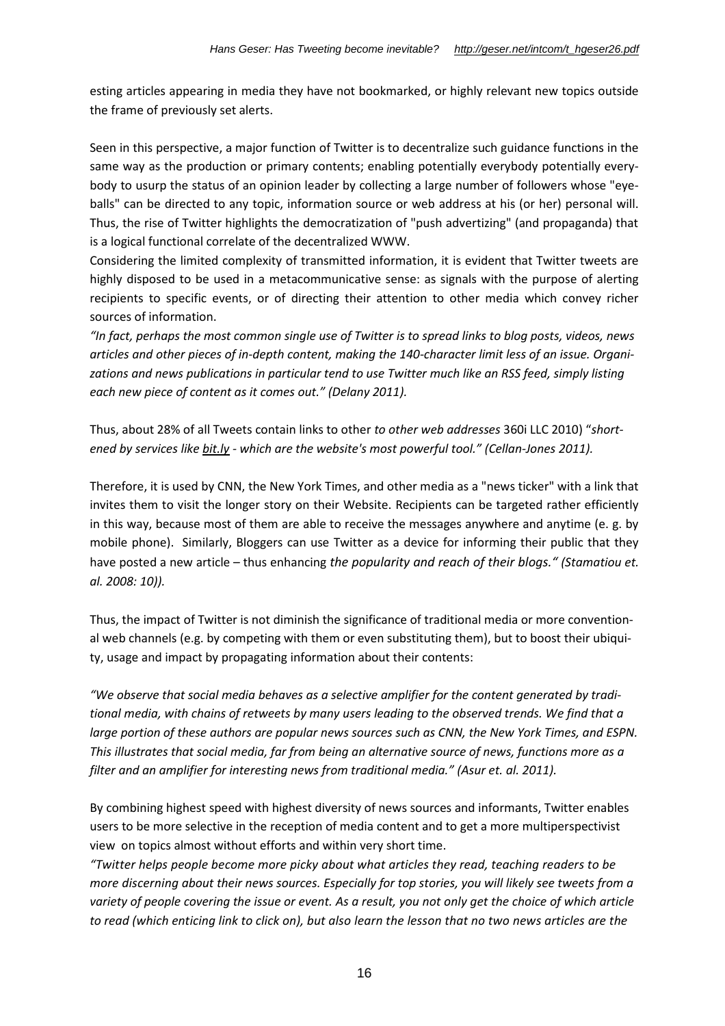esting articles appearing in media they have not bookmarked, or highly relevant new topics outside the frame of previously set alerts.

Seen in this perspective, a major function of Twitter is to decentralize such guidance functions in the same way as the production or primary contents; enabling potentially everybody potentially everybody to usurp the status of an opinion leader by collecting a large number of followers whose "eyeballs" can be directed to any topic, information source or web address at his (or her) personal will. Thus, the rise of Twitter highlights the democratization of "push advertizing" (and propaganda) that is a logical functional correlate of the decentralized WWW.

Considering the limited complexity of transmitted information, it is evident that Twitter tweets are highly disposed to be used in a metacommunicative sense: as signals with the purpose of alerting recipients to specific events, or of directing their attention to other media which convey richer sources of information.

*"In fact, perhaps the most common single use of Twitter is to spread links to blog posts, videos, news articles and other pieces of in-depth content, making the 140-character limit less of an issue. Organizations and news publications in particular tend to use Twitter much like an RSS feed, simply listing each new piece of content as it comes out." (Delany 2011).*

Thus, about 28% of all Tweets contain links to other *to other web addresses* 360i LLC 2010) "*shortened by services like bit.ly - which are the website's most powerful tool." (Cellan-Jones 2011).*

Therefore, it is used by CNN, the New York Times, and other media as a "news ticker" with a link that invites them to visit the longer story on their Website. Recipients can be targeted rather efficiently in this way, because most of them are able to receive the messages anywhere and anytime (e. g. by mobile phone). Similarly, Bloggers can use Twitter as a device for informing their public that they have posted a new article – thus enhancing *the popularity and reach of their blogs." (Stamatiou et. al. 2008: 10)).*

Thus, the impact of Twitter is not diminish the significance of traditional media or more conventional web channels (e.g. by competing with them or even substituting them), but to boost their ubiquity, usage and impact by propagating information about their contents:

*"We observe that social media behaves as a selective amplifier for the content generated by traditional media, with chains of retweets by many users leading to the observed trends. We find that a large portion of these authors are popular news sources such as CNN, the New York Times, and ESPN. This illustrates that social media, far from being an alternative source of news, functions more as a filter and an amplifier for interesting news from traditional media." (Asur et. al. 2011).*

By combining highest speed with highest diversity of news sources and informants, Twitter enables users to be more selective in the reception of media content and to get a more multiperspectivist view on topics almost without efforts and within very short time.

*"Twitter helps people become more picky about what articles they read, teaching readers to be more discerning about their news sources. Especially for top stories, you will likely see tweets from a variety of people covering the issue or event. As a result, you not only get the choice of which article to read (which enticing link to click on), but also learn the lesson that no two news articles are the*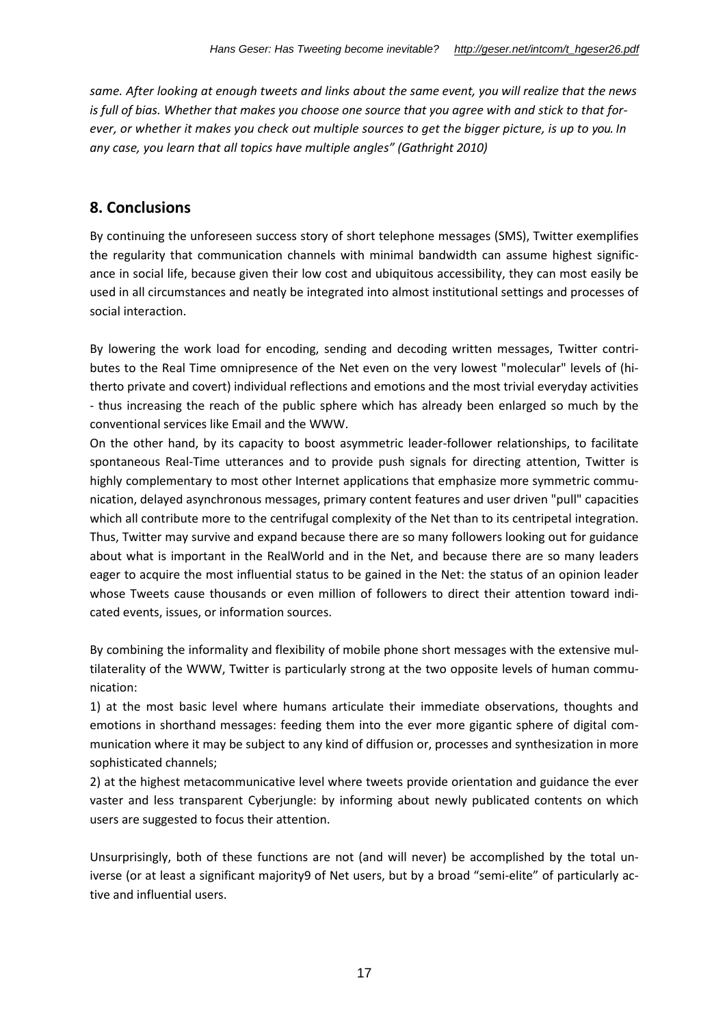*same. After looking at enough tweets and links about the same event, you will realize that the news is full of bias. Whether that makes you choose one source that you agree with and stick to that forever, or whether it makes you check out multiple sources to get the bigger picture, is up to you. In any case, you learn that all topics have multiple angles" (Gathright 2010)*

### **8. Conclusions**

By continuing the unforeseen success story of short telephone messages (SMS), Twitter exemplifies the regularity that communication channels with minimal bandwidth can assume highest significance in social life, because given their low cost and ubiquitous accessibility, they can most easily be used in all circumstances and neatly be integrated into almost institutional settings and processes of social interaction.

By lowering the work load for encoding, sending and decoding written messages, Twitter contributes to the Real Time omnipresence of the Net even on the very lowest "molecular" levels of (hitherto private and covert) individual reflections and emotions and the most trivial everyday activities - thus increasing the reach of the public sphere which has already been enlarged so much by the conventional services like Email and the WWW.

On the other hand, by its capacity to boost asymmetric leader-follower relationships, to facilitate spontaneous Real-Time utterances and to provide push signals for directing attention, Twitter is highly complementary to most other Internet applications that emphasize more symmetric communication, delayed asynchronous messages, primary content features and user driven "pull" capacities which all contribute more to the centrifugal complexity of the Net than to its centripetal integration. Thus, Twitter may survive and expand because there are so many followers looking out for guidance about what is important in the RealWorld and in the Net, and because there are so many leaders eager to acquire the most influential status to be gained in the Net: the status of an opinion leader whose Tweets cause thousands or even million of followers to direct their attention toward indicated events, issues, or information sources.

By combining the informality and flexibility of mobile phone short messages with the extensive multilaterality of the WWW, Twitter is particularly strong at the two opposite levels of human communication:

1) at the most basic level where humans articulate their immediate observations, thoughts and emotions in shorthand messages: feeding them into the ever more gigantic sphere of digital communication where it may be subject to any kind of diffusion or, processes and synthesization in more sophisticated channels;

2) at the highest metacommunicative level where tweets provide orientation and guidance the ever vaster and less transparent Cyberjungle: by informing about newly publicated contents on which users are suggested to focus their attention.

Unsurprisingly, both of these functions are not (and will never) be accomplished by the total universe (or at least a significant majority9 of Net users, but by a broad "semi-elite" of particularly active and influential users.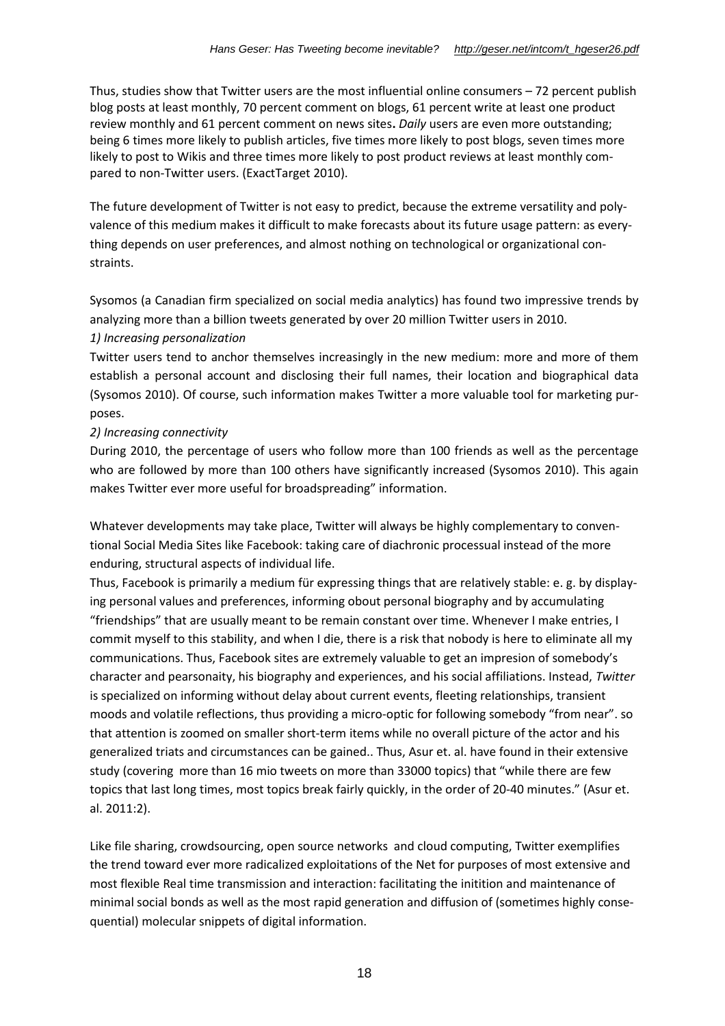Thus, studies show that Twitter users are the most influential online consumers  $-72$  percent publish blog posts at least monthly, 70 percent comment on blogs, 61 percent write at least one product review monthly and 61 percent comment on news sites**.** *Daily* users are even more outstanding; being 6 times more likely to publish articles, five times more likely to post blogs, seven times more likely to post to Wikis and three times more likely to post product reviews at least monthly compared to non-Twitter users. (ExactTarget 2010).

The future development of Twitter is not easy to predict, because the extreme versatility and polyvalence of this medium makes it difficult to make forecasts about its future usage pattern: as everything depends on user preferences, and almost nothing on technological or organizational constraints.

Sysomos (a Canadian firm specialized on social media analytics) has found two impressive trends by analyzing more than a billion tweets generated by over 20 million Twitter users in 2010.

#### *1) Increasing personalization*

Twitter users tend to anchor themselves increasingly in the new medium: more and more of them establish a personal account and disclosing their full names, their location and biographical data (Sysomos 2010). Of course, such information makes Twitter a more valuable tool for marketing purposes.

#### *2) Increasing connectivity*

During 2010, the percentage of users who follow more than 100 friends as well as the percentage who are followed by more than 100 others have significantly increased (Sysomos 2010). This again makes Twitter ever more useful for broadspreading" information.

Whatever developments may take place, Twitter will always be highly complementary to conventional Social Media Sites like Facebook: taking care of diachronic processual instead of the more enduring, structural aspects of individual life.

Thus, Facebook is primarily a medium für expressing things that are relatively stable: e. g. by displaying personal values and preferences, informing obout personal biography and by accumulating "friendships" that are usually meant to be remain constant over time. Whenever I make entries, I commit myself to this stability, and when I die, there is a risk that nobody is here to eliminate all my communications. Thus, Facebook sites are extremely valuable to get an impresion of somebody's character and pearsonaity, his biography and experiences, and his social affiliations. Instead, *Twitter* is specialized on informing without delay about current events, fleeting relationships, transient moods and volatile reflections, thus providing a micro-optic for following somebody "from near". so that attention is zoomed on smaller short-term items while no overall picture of the actor and his generalized triats and circumstances can be gained.. Thus, Asur et. al. have found in their extensive study (covering more than 16 mio tweets on more than 33000 topics) that "while there are few topics that last long times, most topics break fairly quickly, in the order of 20-40 minutes." (Asur et. al. 2011:2).

Like file sharing, crowdsourcing, open source networks and cloud computing, Twitter exemplifies the trend toward ever more radicalized exploitations of the Net for purposes of most extensive and most flexible Real time transmission and interaction: facilitating the initition and maintenance of minimal social bonds as well as the most rapid generation and diffusion of (sometimes highly consequential) molecular snippets of digital information.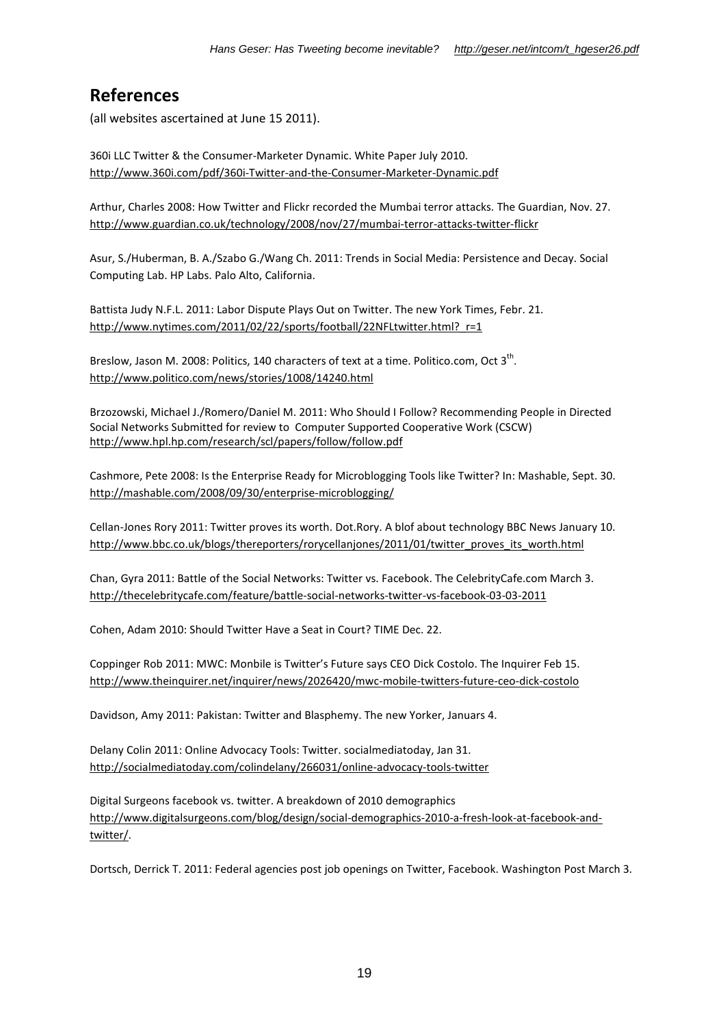### **References**

(all websites ascertained at June 15 2011).

360i LLC Twitter & the Consumer-Marketer Dynamic. White Paper July 2010. http://www.360i.com/pdf/360i-Twitter-and-the-Consumer-Marketer-Dynamic.pdf

Arthur, Charles 2008: How Twitter and Flickr recorded the Mumbai terror attacks. The Guardian, Nov. 27. http://www.guardian.co.uk/technology/2008/nov/27/mumbai-terror-attacks-twitter-flickr

Asur, S./Huberman, B. A./Szabo G./Wang Ch. 2011: Trends in Social Media: Persistence and Decay. Social Computing Lab. HP Labs. Palo Alto, California.

Battista Judy N.F.L. 2011: Labor Dispute Plays Out on Twitter. The new York Times, Febr. 21. http://www.nytimes.com/2011/02/22/sports/football/22NFLtwitter.html? r=1

Breslow, Jason M. 2008: Politics, 140 characters of text at a time. Politico.com, Oct  $3^{th}$ . http://www.politico.com/news/stories/1008/14240.html

Brzozowski, Michael J./Romero/Daniel M. 2011: Who Should I Follow? Recommending People in Directed Social Networks Submitted for review to Computer Supported Cooperative Work (CSCW) http://www.hpl.hp.com/research/scl/papers/follow/follow.pdf

Cashmore, Pete 2008: Is the Enterprise Ready for Microblogging Tools like Twitter? In: Mashable, Sept. 30. http://mashable.com/2008/09/30/enterprise-microblogging/

Cellan-Jones Rory 2011: Twitter proves its worth. Dot.Rory. A blof about technology BBC News January 10. http://www.bbc.co.uk/blogs/thereporters/rorycellanjones/2011/01/twitter\_proves\_its\_worth.html

Chan, Gyra 2011: Battle of the Social Networks: Twitter vs. Facebook. The CelebrityCafe.com March 3. http://thecelebritycafe.com/feature/battle-social-networks-twitter-vs-facebook-03-03-2011

Cohen, Adam 2010: Should Twitter Have a Seat in Court? TIME Dec. 22.

Coppinger Rob 2011: MWC: Monbile is Twitter's Future says CEO Dick Costolo. The Inquirer Feb 15. http://www.theinquirer.net/inquirer/news/2026420/mwc-mobile-twitters-future-ceo-dick-costolo

Davidson, Amy 2011: Pakistan: Twitter and Blasphemy. The new Yorker, Januars 4.

Delany Colin 2011: Online Advocacy Tools: Twitter. socialmediatoday, Jan 31. http://socialmediatoday.com/colindelany/266031/online-advocacy-tools-twitter

Digital Surgeons facebook vs. twitter. A breakdown of 2010 demographics http://www.digitalsurgeons.com/blog/design/social-demographics-2010-a-fresh-look-at-facebook-andtwitter/.

Dortsch, Derrick T. 2011: Federal agencies post job openings on Twitter, Facebook. Washington Post March 3.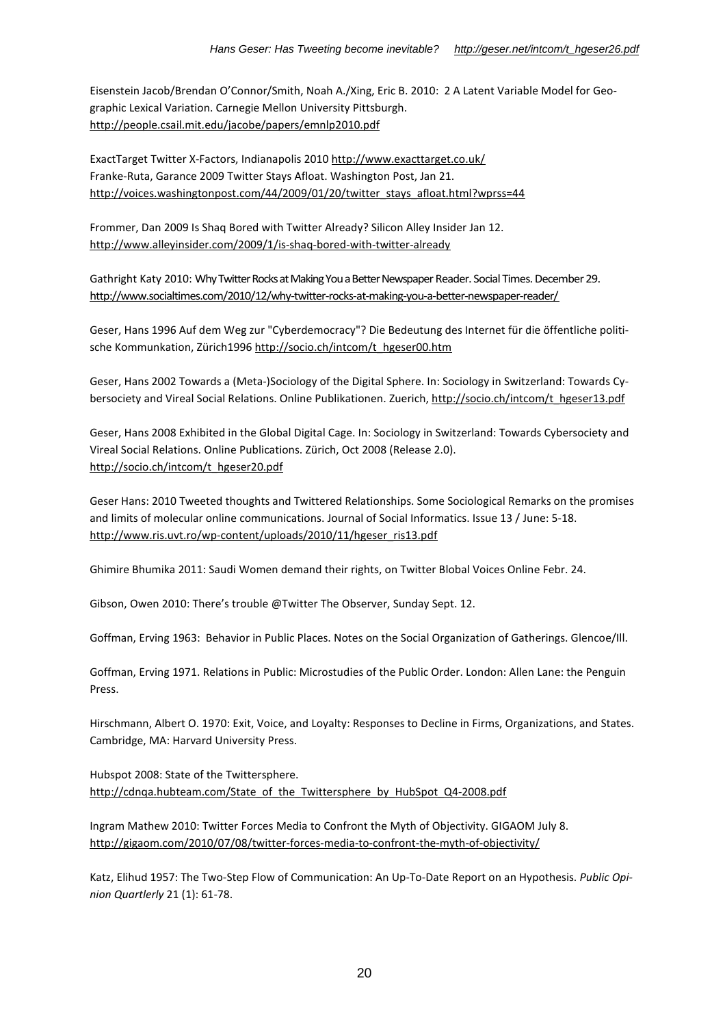Eisenstein Jacob/Brendan O'Connor/Smith, Noah A./Xing, Eric B. 2010: 2 A Latent Variable Model for Geographic Lexical Variation. Carnegie Mellon University Pittsburgh. http://people.csail.mit.edu/jacobe/papers/emnlp2010.pdf

ExactTarget Twitter X-Factors, Indianapolis 2010 http://www.exacttarget.co.uk/ Franke-Ruta, Garance 2009 Twitter Stays Afloat. Washington Post, Jan 21. http://voices.washingtonpost.com/44/2009/01/20/twitter\_stays\_afloat.html?wprss=44

Frommer, Dan 2009 Is Shaq Bored with Twitter Already? Silicon Alley Insider Jan 12. http://www.alleyinsider.com/2009/1/is-shaq-bored-with-twitter-already

Gathright Katy 2010: Why Twitter Rocks at Making You a Better Newspaper Reader. Social Times. December 29. http://www.socialtimes.com/2010/12/why-twitter-rocks-at-making-you-a-better-newspaper-reader/

Geser, Hans 1996 Auf dem Weg zur "Cyberdemocracy"? Die Bedeutung des Internet für die öffentliche politische Kommunkation, Zürich1996 http://socio.ch/intcom/t\_hgeser00.htm

Geser, Hans 2002 Towards a (Meta-)Sociology of the Digital Sphere. In: Sociology in Switzerland: Towards Cybersociety and Vireal Social Relations. Online Publikationen. Zuerich, http://socio.ch/intcom/t\_hgeser13.pdf

Geser, Hans 2008 Exhibited in the Global Digital Cage. In: Sociology in Switzerland: Towards Cybersociety and Vireal Social Relations. Online Publications. Zürich, Oct 2008 (Release 2.0). http://socio.ch/intcom/t\_hgeser20.pdf

Geser Hans: 2010 Tweeted thoughts and Twittered Relationships. Some Sociological Remarks on the promises and limits of molecular online communications. Journal of Social Informatics. Issue 13 / June: 5-18. http://www.ris.uvt.ro/wp-content/uploads/2010/11/hgeser\_ris13.pdf

Ghimire Bhumika 2011: Saudi Women demand their rights, on Twitter Blobal Voices Online Febr. 24.

Gibson, Owen 2010: There's trouble @Twitter The Observer, Sunday Sept. 12.

Goffman, Erving 1963: Behavior in Public Places. Notes on the Social Organization of Gatherings. Glencoe/Ill.

Goffman, Erving 1971. Relations in Public: Microstudies of the Public Order. London: Allen Lane: the Penguin Press.

Hirschmann, Albert O. 1970: Exit, Voice, and Loyalty: Responses to Decline in Firms, Organizations, and States. Cambridge, MA: Harvard University Press.

Hubspot 2008: State of the Twittersphere. http://cdnqa.hubteam.com/State\_of\_the\_Twittersphere\_by\_HubSpot\_Q4-2008.pdf

Ingram Mathew 2010: Twitter Forces Media to Confront the Myth of Objectivity. GIGAOM July 8. http://gigaom.com/2010/07/08/twitter-forces-media-to-confront-the-myth-of-objectivity/

Katz, Elihud 1957: The Two-Step Flow of Communication: An Up-To-Date Report on an Hypothesis. *Public Opinion Quartlerly* 21 (1): 61-78.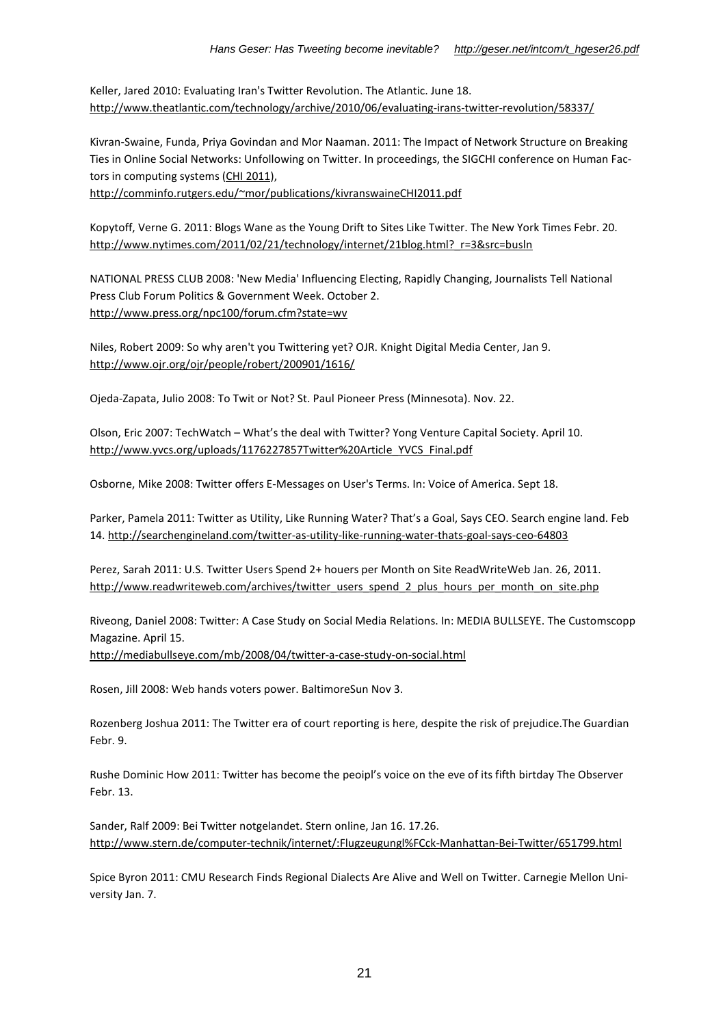Keller, Jared 2010: Evaluating Iran's Twitter Revolution. The Atlantic. June 18. http://www.theatlantic.com/technology/archive/2010/06/evaluating-irans-twitter-revolution/58337/

Kivran-Swaine, Funda, Priya Govindan and Mor Naaman. 2011: The Impact of Network Structure on Breaking Ties in Online Social Networks: Unfollowing on Twitter. In proceedings, the SIGCHI conference on Human Factors in computing systems (CHI 2011),

http://comminfo.rutgers.edu/~mor/publications/kivranswaineCHI2011.pdf

Kopytoff, Verne G. 2011: Blogs Wane as the Young Drift to Sites Like Twitter. The New York Times Febr. 20. http://www.nytimes.com/2011/02/21/technology/internet/21blog.html?\_r=3&src=busln

NATIONAL PRESS CLUB 2008: 'New Media' Influencing Electing, Rapidly Changing, Journalists Tell National Press Club Forum Politics & Government Week. October 2. http://www.press.org/npc100/forum.cfm?state=wv

Niles, Robert 2009: So why aren't you Twittering yet? OJR. Knight Digital Media Center, Jan 9. http://www.ojr.org/ojr/people/robert/200901/1616/

Ojeda-Zapata, Julio 2008: To Twit or Not? St. Paul Pioneer Press (Minnesota). Nov. 22.

Olson, Eric 2007: TechWatch – What's the deal with Twitter? Yong Venture Capital Society. April 10. http://www.yvcs.org/uploads/1176227857Twitter%20Article\_YVCS\_Final.pdf

Osborne, Mike 2008: Twitter offers E-Messages on User's Terms. In: Voice of America. Sept 18.

Parker, Pamela 2011: Twitter as Utility, Like Running Water? That's a Goal, Says CEO. Search engine land. Feb 14. http://searchengineland.com/twitter-as-utility-like-running-water-thats-goal-says-ceo-64803

Perez, Sarah 2011: U.S. Twitter Users Spend 2+ houers per Month on Site ReadWriteWeb Jan. 26, 2011. http://www.readwriteweb.com/archives/twitter\_users\_spend\_2\_plus\_hours\_per\_month\_on\_site.php

Riveong, Daniel 2008: Twitter: A Case Study on Social Media Relations. In: MEDIA BULLSEYE. The Customscopp Magazine. April 15. http://mediabullseye.com/mb/2008/04/twitter-a-case-study-on-social.html

Rosen, Jill 2008: Web hands voters power. BaltimoreSun Nov 3.

Rozenberg Joshua 2011: The Twitter era of court reporting is here, despite the risk of prejudice.The Guardian Febr. 9.

Rushe Dominic How 2011: Twitter has become the peoipl's voice on the eve of its fifth birtday The Observer Febr. 13.

Sander, Ralf 2009: Bei Twitter notgelandet. Stern online, Jan 16. 17.26. http://www.stern.de/computer-technik/internet/:Flugzeugungl%FCck-Manhattan-Bei-Twitter/651799.html

Spice Byron 2011: CMU Research Finds Regional Dialects Are Alive and Well on Twitter. Carnegie Mellon University Jan. 7.